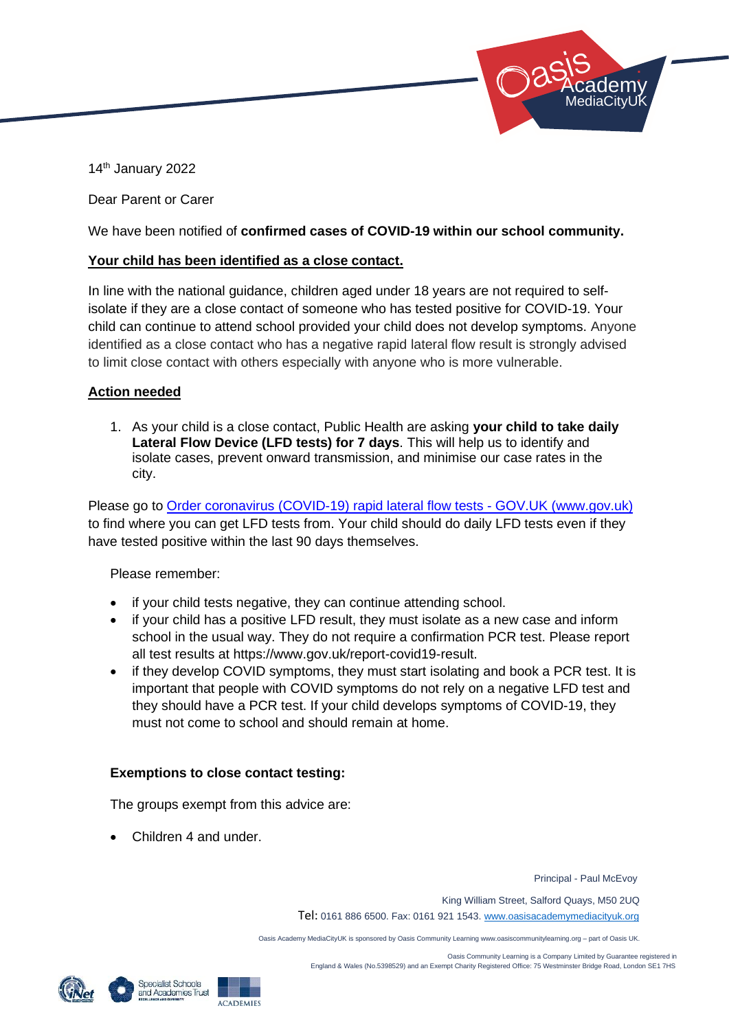

14 th January 2022

Dear Parent or Carer

We have been notified of **confirmed cases of COVID-19 within our school community.**

### **Your child has been identified as a close contact.**

In line with the national guidance, children aged under 18 years are not required to selfisolate if they are a close contact of someone who has tested positive for COVID-19. Your child can continue to attend school provided your child does not develop symptoms. Anyone identified as a close contact who has a negative rapid lateral flow result is strongly advised to limit close contact with others especially with anyone who is more vulnerable.

### **Action needed**

1. As your child is a close contact, Public Health are asking **your child to take daily Lateral Flow Device (LFD tests) for 7 days**. This will help us to identify and isolate cases, prevent onward transmission, and minimise our case rates in the city.

Please go to [Order coronavirus \(COVID-19\) rapid lateral flow tests -](https://www.gov.uk/order-coronavirus-rapid-lateral-flow-tests) GOV.UK (www.gov.uk) to find where you can get LFD tests from. Your child should do daily LFD tests even if they have tested positive within the last 90 days themselves.

Please remember:

- if your child tests negative, they can continue attending school.
- if your child has a positive LFD result, they must isolate as a new case and inform school in the usual way. They do not require a confirmation PCR test. Please report all test results at https://www.gov.uk/report-covid19-result.
- if they develop COVID symptoms, they must start isolating and book a PCR test. It is important that people with COVID symptoms do not rely on a negative LFD test and they should have a PCR test. If your child develops symptoms of COVID-19, they must not come to school and should remain at home.

## **Exemptions to close contact testing:**

The groups exempt from this advice are:

• Children 4 and under.

Principal - Paul McEvoy

King William Street, Salford Quays, M50 2UQ

Tel: 0161 886 6500. Fax: 0161 921 1543[. www.oasisacademymediacityuk.org](http://www.oasisacademymediacityuk.org/)

Oasis Academy MediaCityUK is sponsored by Oasis Community Learning www.oasiscommunitylearning.org – part of Oasis UK.



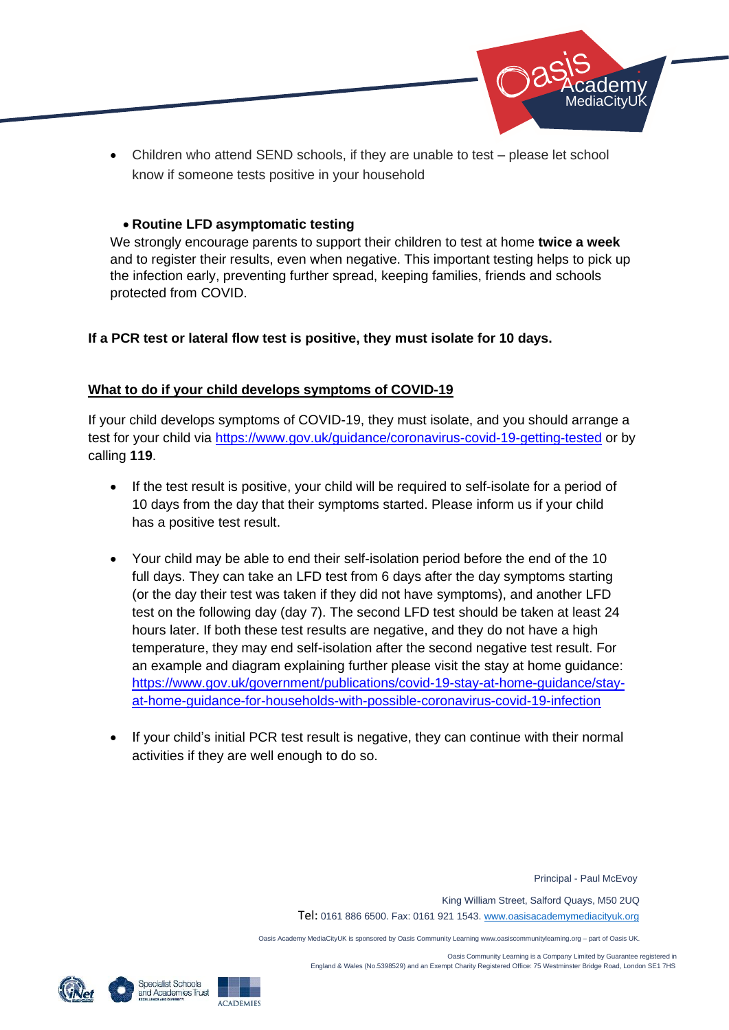

• Children who attend SEND schools, if they are unable to test – please let school know if someone tests positive in your household

### • **Routine LFD asymptomatic testing**

We strongly encourage parents to support their children to test at home **twice a week** and to register their results, even when negative. This important testing helps to pick up the infection early, preventing further spread, keeping families, friends and schools protected from COVID.

### **If a PCR test or lateral flow test is positive, they must isolate for 10 days.**

## **What to do if your child develops symptoms of COVID-19**

If your child develops symptoms of COVID-19, they must isolate, and you should arrange a test for your child via<https://www.gov.uk/guidance/coronavirus-covid-19-getting-tested> or by calling **119**.

- If the test result is positive, your child will be required to self-isolate for a period of 10 days from the day that their symptoms started. Please inform us if your child has a positive test result.
- Your child may be able to end their self-isolation period before the end of the 10 full days. They can take an LFD test from 6 days after the day symptoms starting (or the day their test was taken if they did not have symptoms), and another LFD test on the following day (day 7). The second LFD test should be taken at least 24 hours later. If both these test results are negative, and they do not have a high temperature, they may end self-isolation after the second negative test result. For an example and diagram explaining further please visit the stay at home guidance: [https://www.gov.uk/government/publications/covid-19-stay-at-home-guidance/stay](https://www.gov.uk/government/publications/covid-19-stay-at-home-guidance/stay-at-home-guidance-for-households-with-possible-coronavirus-covid-19-infection)[at-home-guidance-for-households-with-possible-coronavirus-covid-19-infection](https://www.gov.uk/government/publications/covid-19-stay-at-home-guidance/stay-at-home-guidance-for-households-with-possible-coronavirus-covid-19-infection)
- If your child's initial PCR test result is negative, they can continue with their normal activities if they are well enough to do so.

Principal - Paul McEvoy

King William Street, Salford Quays, M50 2UQ

Tel: 0161 886 6500. Fax: 0161 921 1543[. www.oasisacademymediacityuk.org](http://www.oasisacademymediacityuk.org/)

Oasis Academy MediaCityUK is sponsored by Oasis Community Learning www.oasiscommunitylearning.org – part of Oasis UK.

 Oasis Community Learning is a Company Limited by Guarantee registered in England & Wales (No.5398529) and an Exempt Charity Registered Office: 75 Westminster Bridge Road, London SE1 7HS





**ACADEMIES**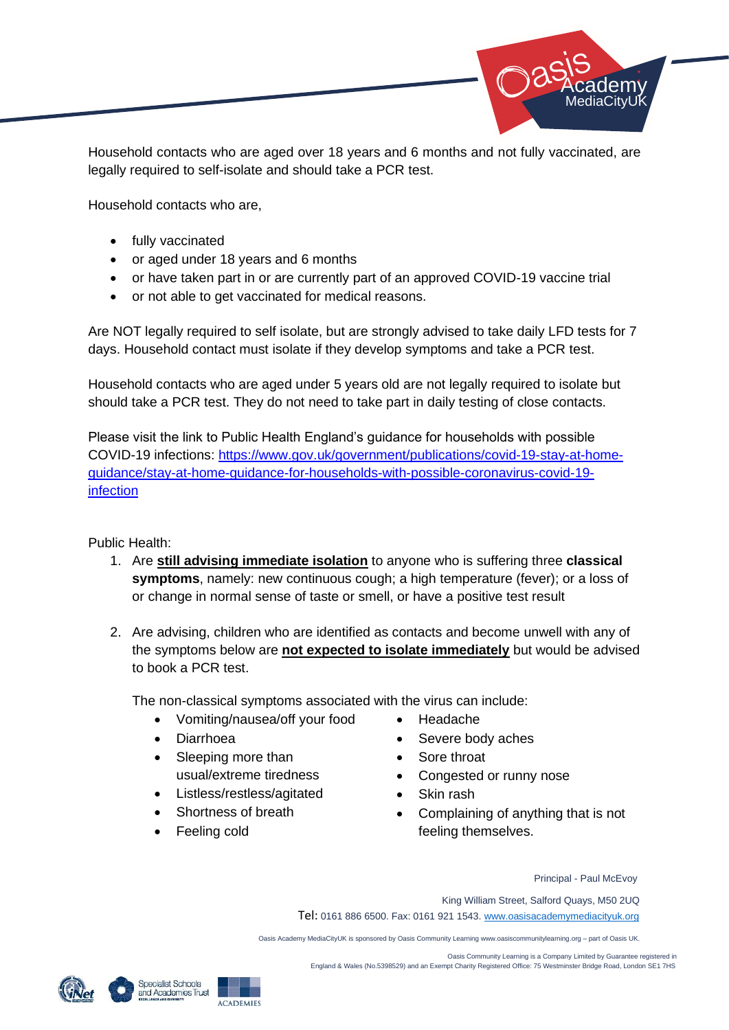

Household contacts who are aged over 18 years and 6 months and not fully vaccinated, are legally required to self-isolate and should take a PCR test.

Household contacts who are,

- fully vaccinated
- or aged under 18 years and 6 months
- or have taken part in or are currently part of an approved COVID-19 vaccine trial
- or not able to get vaccinated for medical reasons.

Are NOT legally required to self isolate, but are strongly advised to take daily LFD tests for 7 days. Household contact must isolate if they develop symptoms and take a PCR test.

Household contacts who are aged under 5 years old are not legally required to isolate but should take a PCR test. They do not need to take part in daily testing of close contacts.

Please visit the link to Public Health England's guidance for households with possible COVID-19 infections: [https://www.gov.uk/government/publications/covid-19-stay-at-home](https://www.gov.uk/government/publications/covid-19-stay-at-home-guidance/stay-at-home-guidance-for-households-with-possible-coronavirus-covid-19-infection)[guidance/stay-at-home-guidance-for-households-with-possible-coronavirus-covid-19](https://www.gov.uk/government/publications/covid-19-stay-at-home-guidance/stay-at-home-guidance-for-households-with-possible-coronavirus-covid-19-infection) [infection](https://www.gov.uk/government/publications/covid-19-stay-at-home-guidance/stay-at-home-guidance-for-households-with-possible-coronavirus-covid-19-infection)

Public Health:

- 1. Are **still advising immediate isolation** to anyone who is suffering three **classical symptoms**, namely: new continuous cough; a high temperature (fever); or a loss of or change in normal sense of taste or smell, or have a positive test result
- 2. Are advising, children who are identified as contacts and become unwell with any of the symptoms below are **not expected to isolate immediately** but would be advised to book a PCR test.

The non-classical symptoms associated with the virus can include:

- Vomiting/nausea/off your food
- Diarrhoea
- Sleeping more than usual/extreme tiredness
- Listless/restless/agitated
- Shortness of breath
- Feeling cold
- Headache
- Severe body aches
- Sore throat
- Congested or runny nose
- Skin rash
- Complaining of anything that is not feeling themselves.

Principal - Paul McEvoy

King William Street, Salford Quays, M50 2UQ

Tel: 0161 886 6500. Fax: 0161 921 1543[. www.oasisacademymediacityuk.org](http://www.oasisacademymediacityuk.org/)

Oasis Academy MediaCityUK is sponsored by Oasis Community Learning www.oasiscommunitylearning.org – part of Oasis UK.



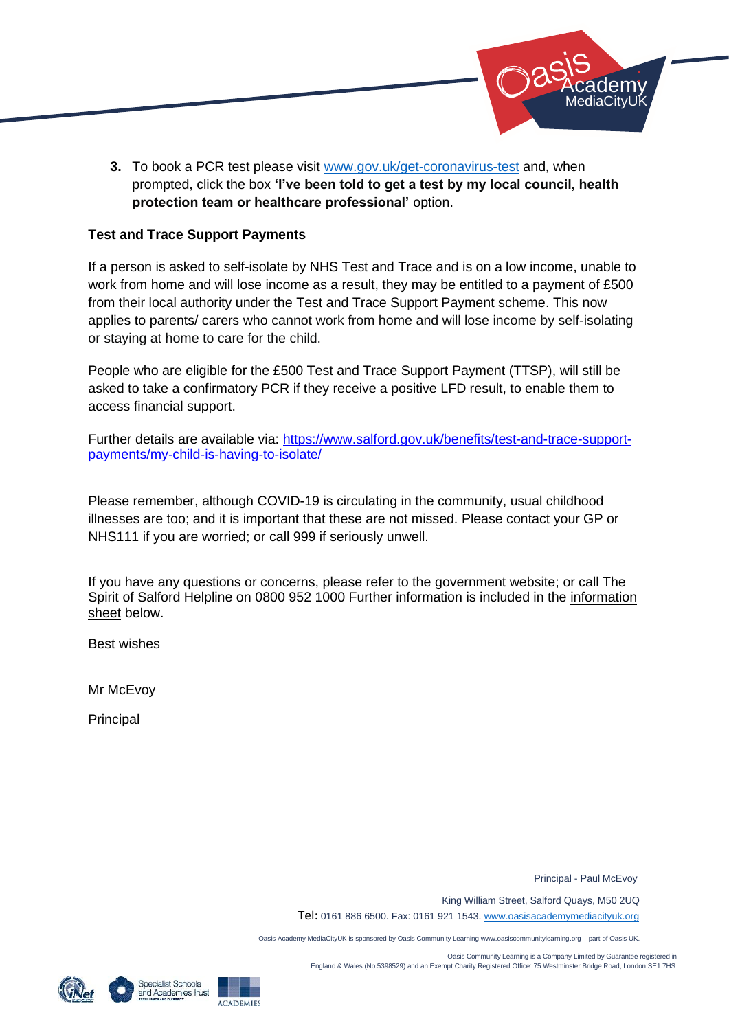

**3.** To book a PCR test please visit [www.gov.uk/get-coronavirus-test](http://www.gov.uk/get-coronavirus-test) and, when prompted, click the box **'I've been told to get a test by my local council, health protection team or healthcare professional'** option.

### **Test and Trace Support Payments**

If a person is asked to self-isolate by NHS Test and Trace and is on a low income, unable to work from home and will lose income as a result, they may be entitled to a payment of £500 from their local authority under the Test and Trace Support Payment scheme. This now applies to parents/ carers who cannot work from home and will lose income by self-isolating or staying at home to care for the child.

People who are eligible for the £500 Test and Trace Support Payment (TTSP), will still be asked to take a confirmatory PCR if they receive a positive LFD result, to enable them to access financial support.

Further details are available via: [https://www.salford.gov.uk/benefits/test-and-trace-support](https://www.salford.gov.uk/benefits/test-and-trace-support-payments/my-child-is-having-to-isolate/)[payments/my-child-is-having-to-isolate/](https://www.salford.gov.uk/benefits/test-and-trace-support-payments/my-child-is-having-to-isolate/)

Please remember, although COVID-19 is circulating in the community, usual childhood illnesses are too; and it is important that these are not missed. Please contact your GP or NHS111 if you are worried; or call 999 if seriously unwell.

If you have any questions or concerns, please refer to the government website; or call The Spirit of Salford Helpline on 0800 952 1000 Further information is included in the information sheet below.

Best wishes

Mr McEvoy

Principal

Principal - Paul McEvoy

King William Street, Salford Quays, M50 2UQ

Tel: 0161 886 6500. Fax: 0161 921 1543[. www.oasisacademymediacityuk.org](http://www.oasisacademymediacityuk.org/)

Oasis Academy MediaCityUK is sponsored by Oasis Community Learning www.oasiscommunitylearning.org – part of Oasis UK.





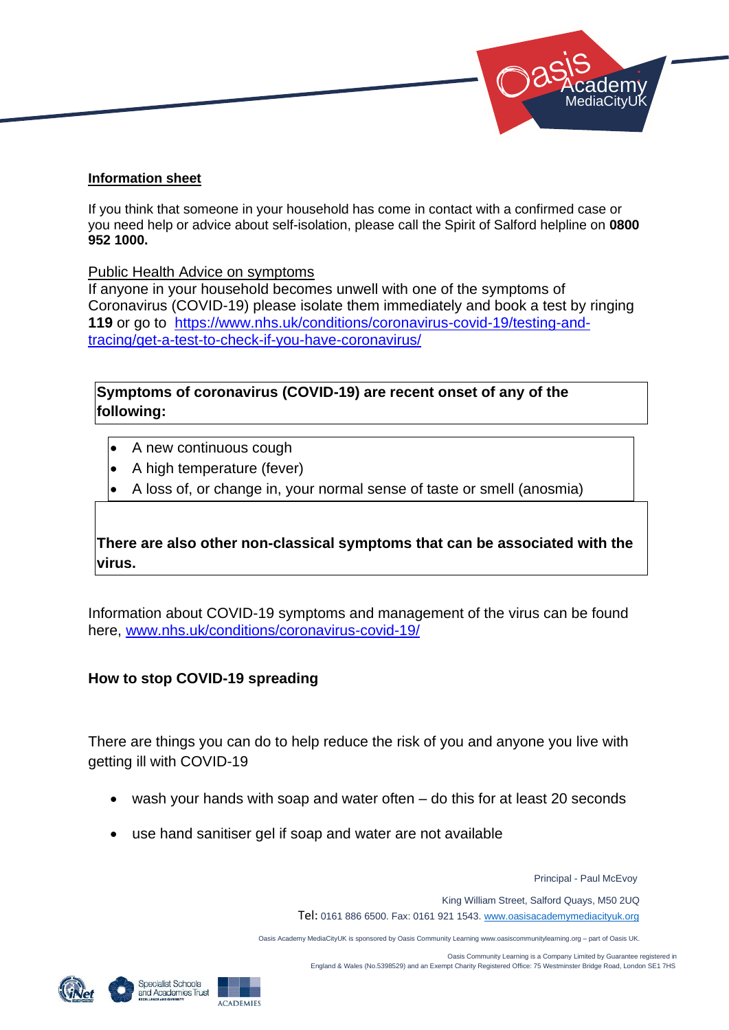

### **Information sheet**

If you think that someone in your household has come in contact with a confirmed case or you need help or advice about self-isolation, please call the Spirit of Salford helpline on **0800 952 1000.** 

Public Health Advice on symptoms

If anyone in your household becomes unwell with one of the symptoms of Coronavirus (COVID-19) please isolate them immediately and book a test by ringing **119** or go to [https://www.nhs.uk/conditions/coronavirus-covid-19/testing-and](https://www.nhs.uk/conditions/coronavirus-covid-19/testing-and-tracing/get-a-test-to-check-if-you-have-coronavirus/)[tracing/get-a-test-to-check-if-you-have-coronavirus/](https://www.nhs.uk/conditions/coronavirus-covid-19/testing-and-tracing/get-a-test-to-check-if-you-have-coronavirus/)

**Symptoms of coronavirus (COVID-19) are recent onset of any of the following:**

- A new continuous cough
- A high temperature (fever)
- A loss of, or change in, your normal sense of taste or smell (anosmia)

# **There are also other non-classical symptoms that can be associated with the virus.**

Information about COVID-19 symptoms and management of the virus can be found here, [www.nhs.uk/conditions/coronavirus-covid-19/](http://www.nhs.uk/conditions/coronavirus-covid-19/)

## **How to stop COVID-19 spreading**

There are things you can do to help reduce the risk of you and anyone you live with getting ill with COVID-19

- wash your hands with soap and water often do this for at least 20 seconds
- use hand sanitiser gel if soap and water are not available

Principal - Paul McEvoy

King William Street, Salford Quays, M50 2UQ

Tel: 0161 886 6500. Fax: 0161 921 1543[. www.oasisacademymediacityuk.org](http://www.oasisacademymediacityuk.org/)

Oasis Academy MediaCityUK is sponsored by Oasis Community Learning www.oasiscommunitylearning.org – part of Oasis UK.